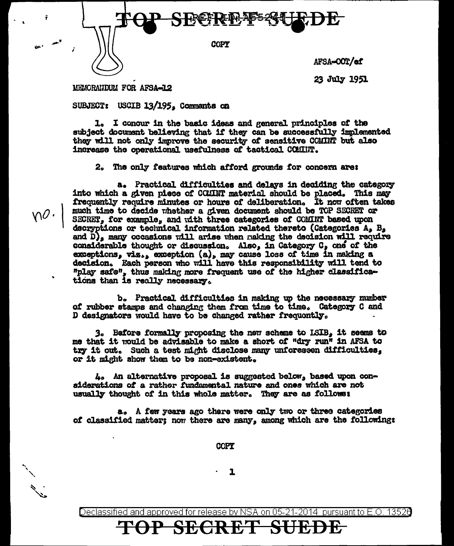

23 July 1951

MEMORAIDUM FOR AFSA-12

 $\gamma$ 0.

SUBJECT: USCIB 13/195, Comments on

1. I concur in the basic ideas and general principles of the subject document believing that if they can be successfully implemented they will not only improve the security of sensitive COMINT but also increase the operational usefulness of tactical COMINT.

2. The only features which afford grounds for concern are:

a. Practical difficulties and delays in deciding the category into which a given piece of COMINT material should be placed. This may frequently require minutes or hours of deliberation. It now often takes much time to decide whether a given document should be TOP SECRET or SECRET, for example, and with three categories of COMINT based upon decryptions or technical information related thereto (Categories A, B, and  $\tilde{D}$ , many occasions will arise when making the decision will require considerable thought or discussion. Also, in Category C, one of the exceptions, viz., exception (a), may cause loss of time in making a decision. Each person who will have this responsibility will tend to "play safe", thus making more frequent use of the higher classifications than is really necessary.

b. Practical difficulties in making up the necessary number of rubber stamps and changing them from time to time. Category C and D designators would have to be changed rather frequently.

3. Before formally proposing the new scheme to ISIB, it seems to me that it would be advisable to make a short of "dry run" in AFSA to try it out. Such a test might disclose many unforeseen difficulties. or it might show them to be non-existent.

4. An alternative proposal is suggested below, based upon considerations of a rather fundamental nature and ones which are not usually thought of in this whole matter. They are as follows:

a. A few years ago there were only two or three categories of classified matter; now there are many, among which are the following:

**COPY** 

1

Declassified and approved for release by NSA on 05-21-2014 pursuant to E.O. 13526

# <del>SECRE</del>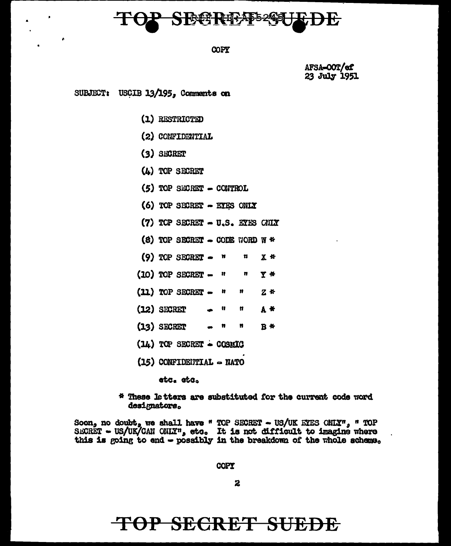

#### COPY

AFSA-OOT/ef 23 July 1951

SUBJECT: USCIB 13/195, Comments on

(1) RESTRICTED

- (2) CONFIDENTIAL
- $(3)$  SECRET
- $(4)$  TOP SECRET
- $(5)$  TOP SECRET CONTROL
- (6) TOP SECRET EYES ONLY
- (7) TOP SECRET U.S. EYES CHIX
- (8) TOP SECRET  $\sim$  CODE WORD W \*
- $(9)$  TOP SECRET  $-$ Ħ u  $X$  \*
- $(10)$  TOP SECRET  $-$ Ħ n Y \*
- $(11)$  TOP SECRET  $-$ Ħ 11  $Z$  \*
- $(12)$  SECRET Ħ Ħ А \*
- $(13)$  SECRET n  $\bullet$  $B$  #
- $(14)$  TOP SECRET COSMIC
- $(15)$  CONFIDENTIAL  $\sim$  NATO

etc. etc.

\* These letters are substituted for the current code word designators.

Soon, no doubt, we shall have " TOP SECRET - US/UK ETES CHIX", " TOP SECRET - US/UK/CAN CHIX", etc. It is not difficult to imagine where this is going to end - possibly in the breakdom of the whole scheme.

**COPY** 

2

## TOP SECRET SUEDE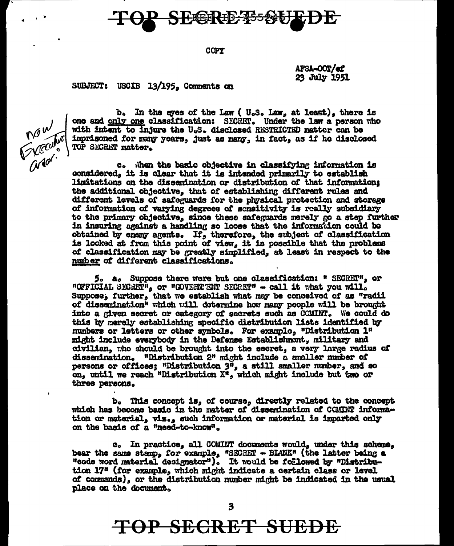KEER ID-AS52

#### COPY

AFSA-OOT/ef 23 July 1951

#### SUBJECT: USCIB 13/195, Comments on



b. In the eyes of the Law (U.S. Law, at least), there is one and only one classification: SECRET. Under the law a person who with intent to injure the U.S. disclosed RESTRICTED matter can be imprisoned for many years, just as many, in fact, as if he disclosed TOP SECRET matter.

c. When the basic objective in classifying information is considered, it is clear that it is intended primarily to establish limitations on the dissemination or distribution of that information; the additional objective, that of establishing different rules and different levels of safeguards for the physical protection and storage of information of varying degrees of sonsitivity is really subsidiary to the primary objective, since these safeguards merely go a step further in insuring against a handling so loose that the information could be obtained by enemy agents. If, therefore, the subject of classification is looked at from this point of view, it is possible that the problems of classification may be greatly simplified, at least in respect to the number of different classifications.

5. a. Suppose there were but one classification: " SECRET", or "OFFICIAL SECRET", or "GOVERNERT SECRET" - call it what you will. Suppose, further, that we establish what may be conceived of as "radii of dissemination" which will determine how many people will be brought into a given secret or category of secrets such as COMINT. We could do this by merely establishing specific distribution lists identified by numbers or letters or other symbols. For example, "Distribution 1" might include everybody in the Defense Establishment, military and civilian. Tho should be brought into the secret, a very large radius of dissemination. "Distribution 2" might include a smaller number of persons or offices; "Distribution  $3^{\overline{n}}$ , a still smaller number, and so on, until we reach "Distribution X", which might include but two or three persons.

b. This concept is, of course, directly related to the concept which has become basic in the matter of dissemination of COMINT information or material, viz., such information or material is imparted only on the basis of a "need-to-know".

c. In practice, all COMINT documents would, under this scheme, bear the same stamp, for example, "SECRET - BLANK" (the latter being a "code word material designator"). It would be followed by "Distribution 17" (for example, which might indicate a certain class or level of commands), or the distribution number might be indicated in the usual place on the document.

TOP SECRET SUEDE